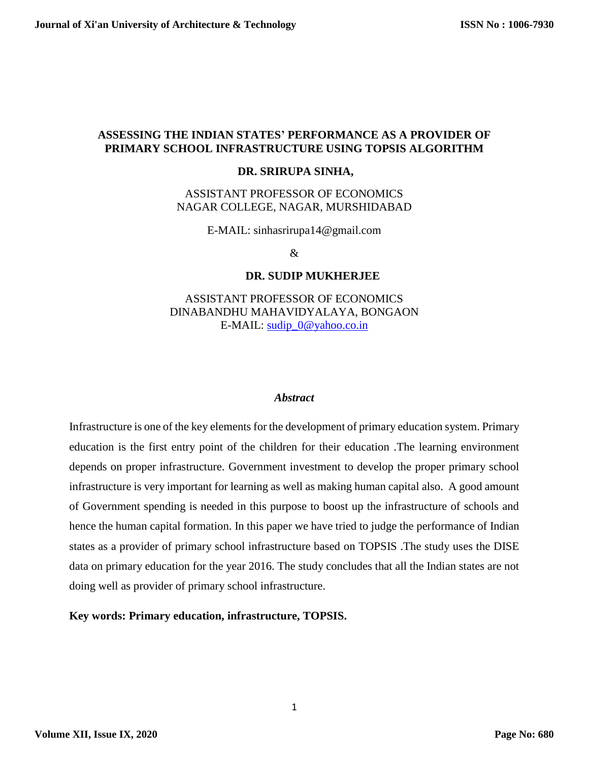# **ASSESSING THE INDIAN STATES' PERFORMANCE AS A PROVIDER OF PRIMARY SCHOOL INFRASTRUCTURE USING TOPSIS ALGORITHM**

#### **DR. SRIRUPA SINHA,**

# ASSISTANT PROFESSOR OF ECONOMICS NAGAR COLLEGE, NAGAR, MURSHIDABAD

E-MAIL: sinhasrirupa14@gmail.com

&

#### **DR. SUDIP MUKHERJEE**

ASSISTANT PROFESSOR OF ECONOMICS DINABANDHU MAHAVIDYALAYA, BONGAON E-MAIL: [sudip\\_0@yahoo.co.in](mailto:sudip_0@yahoo.co.in)

#### *Abstract*

Infrastructure is one of the key elements for the development of primary education system. Primary education is the first entry point of the children for their education .The learning environment depends on proper infrastructure. Government investment to develop the proper primary school infrastructure is very important for learning as well as making human capital also. A good amount of Government spending is needed in this purpose to boost up the infrastructure of schools and hence the human capital formation. In this paper we have tried to judge the performance of Indian states as a provider of primary school infrastructure based on TOPSIS .The study uses the DISE data on primary education for the year 2016. The study concludes that all the Indian states are not doing well as provider of primary school infrastructure.

**Key words: Primary education, infrastructure, TOPSIS.**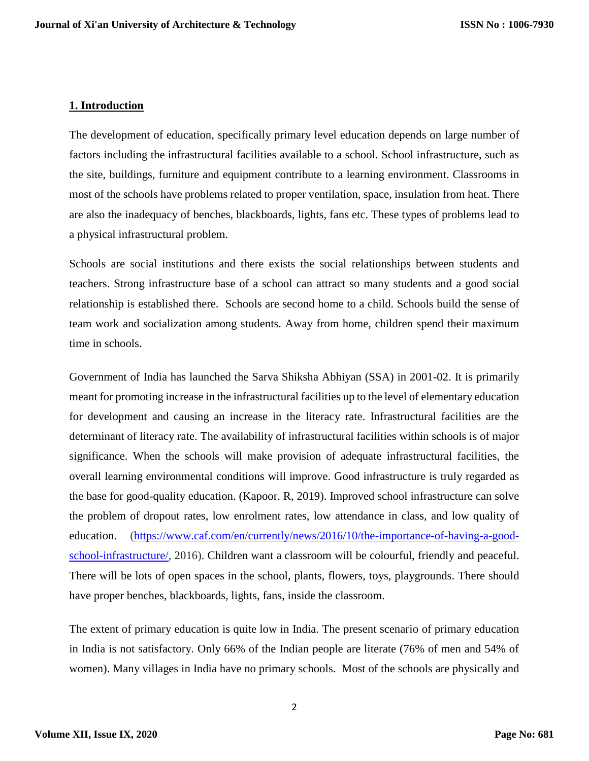## **1. Introduction**

The development of education, specifically primary level education depends on large number of factors including the infrastructural facilities available to a school. School infrastructure, such as the site, buildings, furniture and equipment contribute to a learning environment. Classrooms in most of the schools have problems related to proper ventilation, space, insulation from heat. There are also the inadequacy of benches, blackboards, lights, fans etc. These types of problems lead to a physical infrastructural problem.

Schools are social institutions and there exists the social relationships between students and teachers. Strong infrastructure base of a school can attract so many students and a good social relationship is established there. Schools are second home to a child. Schools build the sense of team work and socialization among students. Away from home, children spend their maximum time in schools.

Government of India has launched the Sarva Shiksha Abhiyan (SSA) in 2001-02. It is primarily meant for promoting increase in the infrastructural facilities up to the level of elementary education for development and causing an increase in the literacy rate. Infrastructural facilities are the determinant of literacy rate. The availability of infrastructural facilities within schools is of major significance. When the schools will make provision of adequate infrastructural facilities, the overall learning environmental conditions will improve. Good infrastructure is truly regarded as the base for good-quality education. (Kapoor. R, 2019). Improved school infrastructure can solve the problem of dropout rates, low enrolment rates, low attendance in class, and low quality of education. [\(https://www.caf.com/en/currently/news/2016/10/the-importance-of-having-a-good](https://www.caf.com/en/currently/news/2016/10/the-importance-of-having-a-good-school-infrastructure/)[school-infrastructure/,](https://www.caf.com/en/currently/news/2016/10/the-importance-of-having-a-good-school-infrastructure/) 2016). Children want a classroom will be colourful, friendly and peaceful. There will be lots of open spaces in the school, plants, flowers, toys, playgrounds. There should have proper benches, blackboards, lights, fans, inside the classroom.

The extent of primary education is quite low in India. The present scenario of primary education in India is not satisfactory. Only 66% of the Indian people are literate (76% of men and 54% of women). Many villages in India have no primary schools. Most of the schools are physically and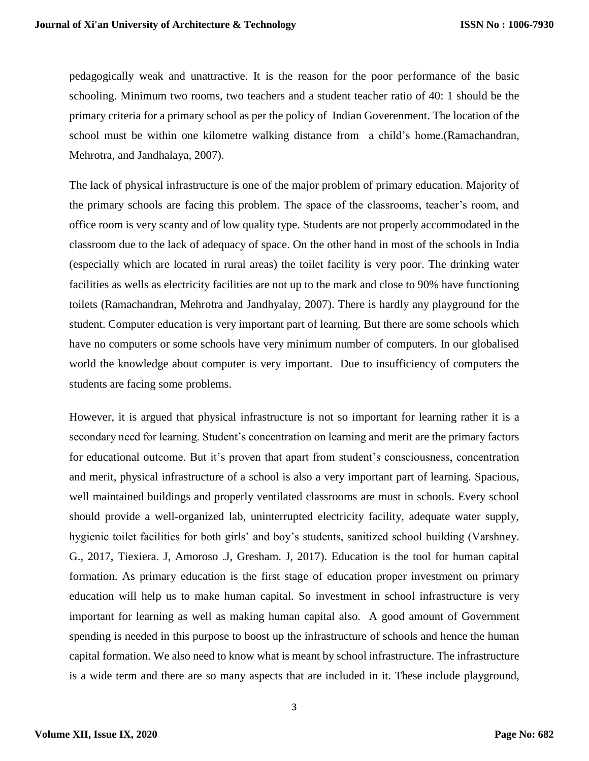pedagogically weak and unattractive. It is the reason for the poor performance of the basic schooling. Minimum two rooms, two teachers and a student teacher ratio of 40: 1 should be the primary criteria for a primary school as per the policy of Indian Goverenment. The location of the school must be within one kilometre walking distance from a child's home.(Ramachandran, Mehrotra, and Jandhalaya, 2007).

The lack of physical infrastructure is one of the major problem of primary education. Majority of the primary schools are facing this problem. The space of the classrooms, teacher's room, and office room is very scanty and of low quality type. Students are not properly accommodated in the classroom due to the lack of adequacy of space. On the other hand in most of the schools in India (especially which are located in rural areas) the toilet facility is very poor. The drinking water facilities as wells as electricity facilities are not up to the mark and close to 90% have functioning toilets (Ramachandran, Mehrotra and Jandhyalay, 2007). There is hardly any playground for the student. Computer education is very important part of learning. But there are some schools which have no computers or some schools have very minimum number of computers. In our globalised world the knowledge about computer is very important. Due to insufficiency of computers the students are facing some problems.

However, it is argued that physical infrastructure is not so important for learning rather it is a secondary need for learning. Student's concentration on learning and merit are the primary factors for educational outcome. But it's proven that apart from student's consciousness, concentration and merit, physical infrastructure of a school is also a very important part of learning. Spacious, well maintained buildings and properly ventilated classrooms are must in schools. Every school should provide a well-organized lab, uninterrupted electricity facility, adequate water supply, hygienic toilet facilities for both girls' and boy's students, sanitized school building (Varshney. G., 2017, Tiexiera. J, Amoroso .J, Gresham. J, 2017). Education is the tool for human capital formation. As primary education is the first stage of education proper investment on primary education will help us to make human capital. So investment in school infrastructure is very important for learning as well as making human capital also. A good amount of Government spending is needed in this purpose to boost up the infrastructure of schools and hence the human capital formation. We also need to know what is meant by school infrastructure. The infrastructure is a wide term and there are so many aspects that are included in it. These include playground,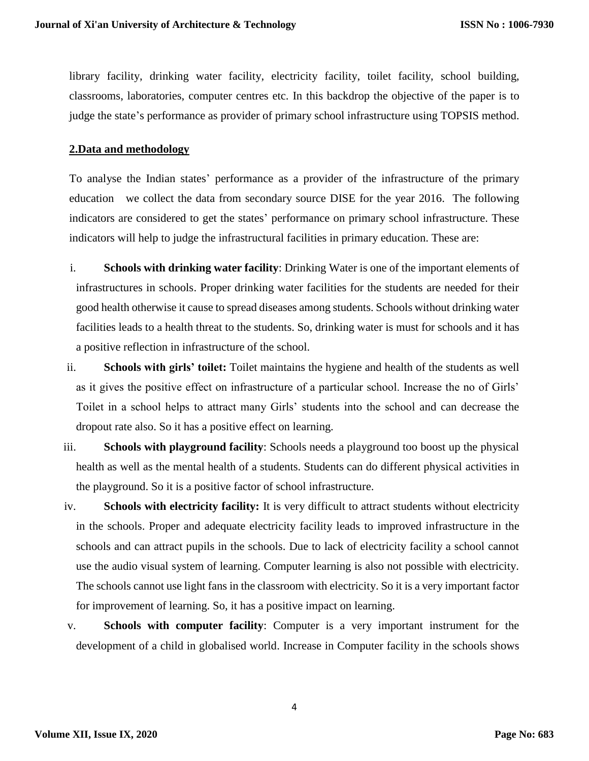library facility, drinking water facility, electricity facility, toilet facility, school building, classrooms, laboratories, computer centres etc. In this backdrop the objective of the paper is to judge the state's performance as provider of primary school infrastructure using TOPSIS method.

#### **2.Data and methodology**

To analyse the Indian states' performance as a provider of the infrastructure of the primary education we collect the data from secondary source DISE for the year 2016. The following indicators are considered to get the states' performance on primary school infrastructure. These indicators will help to judge the infrastructural facilities in primary education. These are:

- i. **Schools with drinking water facility**: Drinking Water is one of the important elements of infrastructures in schools. Proper drinking water facilities for the students are needed for their good health otherwise it cause to spread diseases among students. Schools without drinking water facilities leads to a health threat to the students. So, drinking water is must for schools and it has a positive reflection in infrastructure of the school.
- ii. **Schools with girls' toilet:** Toilet maintains the hygiene and health of the students as well as it gives the positive effect on infrastructure of a particular school. Increase the no of Girls' Toilet in a school helps to attract many Girls' students into the school and can decrease the dropout rate also. So it has a positive effect on learning.
- iii. **Schools with playground facility**: Schools needs a playground too boost up the physical health as well as the mental health of a students. Students can do different physical activities in the playground. So it is a positive factor of school infrastructure.
- iv. **Schools with electricity facility:** It is very difficult to attract students without electricity in the schools. Proper and adequate electricity facility leads to improved infrastructure in the schools and can attract pupils in the schools. Due to lack of electricity facility a school cannot use the audio visual system of learning. Computer learning is also not possible with electricity. The schools cannot use light fans in the classroom with electricity. So it is a very important factor for improvement of learning. So, it has a positive impact on learning.
- v. **Schools with computer facility**: Computer is a very important instrument for the development of a child in globalised world. Increase in Computer facility in the schools shows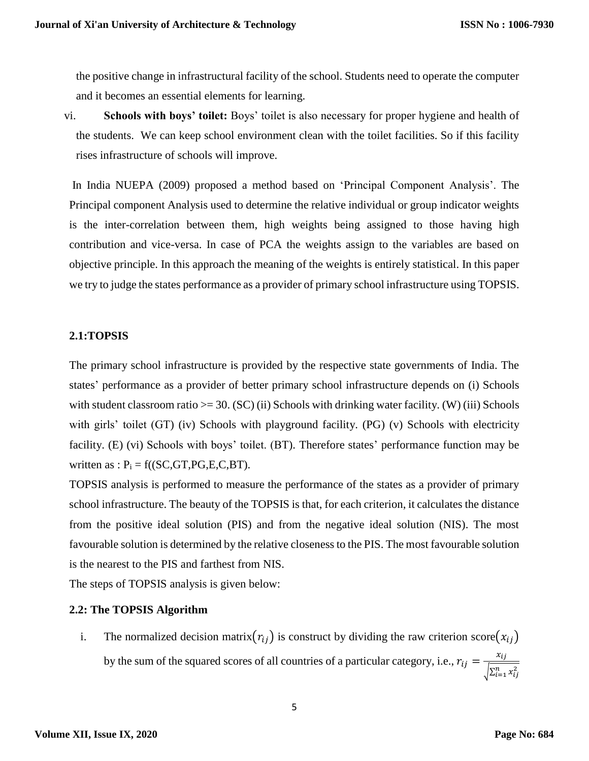the positive change in infrastructural facility of the school. Students need to operate the computer and it becomes an essential elements for learning.

vi. **Schools with boys' toilet:** Boys' toilet is also necessary for proper hygiene and health of the students. We can keep school environment clean with the toilet facilities. So if this facility rises infrastructure of schools will improve.

In India NUEPA (2009) proposed a method based on 'Principal Component Analysis'. The Principal component Analysis used to determine the relative individual or group indicator weights is the inter-correlation between them, high weights being assigned to those having high contribution and vice-versa. In case of PCA the weights assign to the variables are based on objective principle. In this approach the meaning of the weights is entirely statistical. In this paper we try to judge the states performance as a provider of primary school infrastructure using TOPSIS.

## **2.1:TOPSIS**

The primary school infrastructure is provided by the respective state governments of India. The states' performance as a provider of better primary school infrastructure depends on (i) Schools with student classroom ratio  $>= 30$ . (SC) (ii) Schools with drinking water facility. (W) (iii) Schools with girls' toilet (GT) (iv) Schools with playground facility. (PG) (v) Schools with electricity facility. (E) (vi) Schools with boys' toilet. (BT). Therefore states' performance function may be written as :  $P_i = f((SC, GT, PG, E, C, BT)$ .

TOPSIS analysis is performed to measure the performance of the states as a provider of primary school infrastructure. The beauty of the TOPSIS is that, for each criterion, it calculates the distance from the positive ideal solution (PIS) and from the negative ideal solution (NIS). The most favourable solution is determined by the relative closeness to the PIS. The most favourable solution is the nearest to the PIS and farthest from NIS.

The steps of TOPSIS analysis is given below:

## **2.2: The TOPSIS Algorithm**

i. The normalized decision matrix $(r_{ij})$  is construct by dividing the raw criterion score $(x_{ij})$ by the sum of the squared scores of all countries of a particular category, i.e.,  $r_{ij} = \frac{x_{ij}}{\sqrt{x_i}}$  $\sqrt{\sum_{i=1}^n x_{ij}^2}$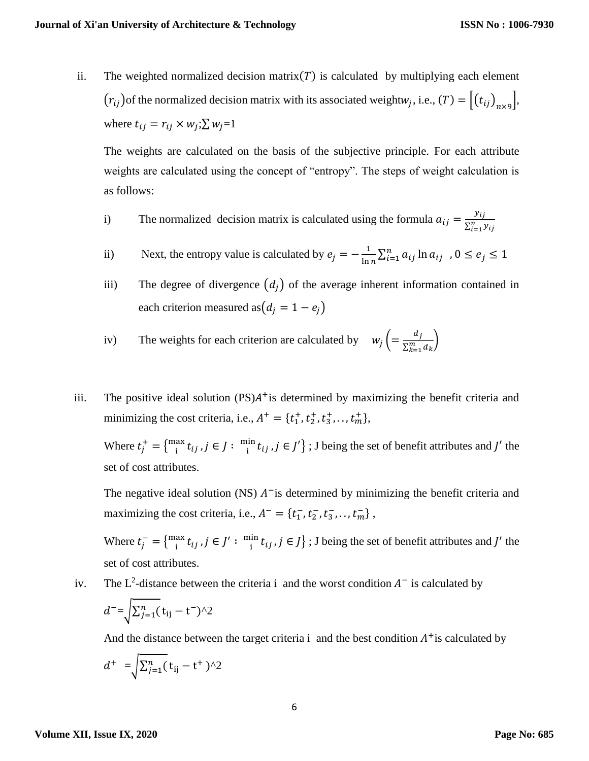ii. The weighted normalized decision matrix( $T$ ) is calculated by multiplying each element  $(r_{ij})$  of the normalized decision matrix with its associated weightw<sub>j</sub>, i.e.,  $(T) = [(t_{ij})_{n \times 9}]$ , where  $t_{ij} = r_{ij} \times w_j : \sum w_j = 1$ 

The weights are calculated on the basis of the subjective principle. For each attribute weights are calculated using the concept of "entropy". The steps of weight calculation is as follows:

- i) The normalized decision matrix is calculated using the formula  $a_{ij} = \frac{y_{ij}}{S_i^2}$  $\sum_{i=1}^n y_{ij}$
- ii) Next, the entropy value is calculated by  $e_j = -\frac{1}{\ln n}$  $\frac{1}{\ln n} \sum_{i=1}^{n} a_{ij} \ln a_{ij}$ ,  $0 \le e_j \le 1$
- iii) The degree of divergence  $(d_i)$  of the average inherent information contained in each criterion measured as  $(d_i = 1 - e_i)$

iv) The weights for each criterion are calculated by 
$$
w_j \left( = \frac{d_j}{\sum_{k=1}^m d_k} \right)
$$

iii. The positive ideal solution  $(PS)A^+$  is determined by maximizing the benefit criteria and minimizing the cost criteria, i.e.,  $A^+ = \{t_1^+, t_2^+, t_3^+, \ldots, t_m^+\}$ ,

Where  $t_j^+ = \{_{i}^{max}$  $\frac{a}{i}$   $t_{ij}$  ,  $j \in J : \frac{m}{i}$  $\lim_{i} t_{ij}$ ,  $j \in J'$  ; J being the set of benefit attributes and J' the set of cost attributes.

The negative ideal solution (NS)  $A^-$  is determined by minimizing the benefit criteria and maximizing the cost criteria, i.e.,  $A^- = \{t_1^-, t_2^-, t_3^-, \dots, t_m^-\}$ ,

Where  $t_j^- = \{max_i$  $\int_{i}^{ax} t_{ij}$ ,  $j \in J' : \frac{min}{i}$  $\left\{ \int_{i}^{in} t_{ij}, j \in J \right\}$ ; J being the set of benefit attributes and  $J'$  the set of cost attributes.

iv. The  $L^2$ -distance between the criteria i and the worst condition  $A^-$  is calculated by

$$
d^{-}=\sqrt{\sum_{j=1}^n(t_{ij}-t^{-})^2}
$$

And the distance between the target criteria  $\mathbf i$  and the best condition  $A^+$  is calculated by

$$
d^+ = \sqrt{\sum_{j=1}^n} \left( t_{ij} - t^+ \right) \wedge 2
$$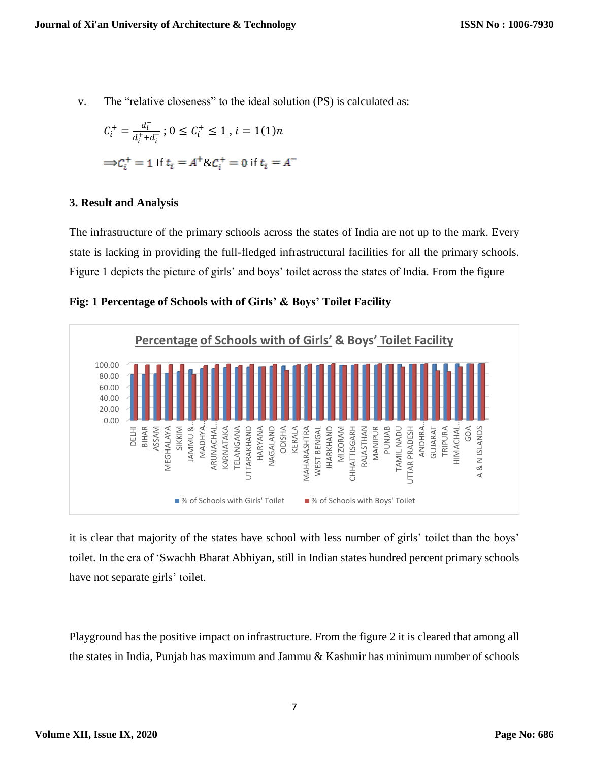v. The "relative closeness" to the ideal solution (PS) is calculated as:

$$
C_i^+ = \frac{d_i^-}{d_i^+ + d_i^-}; 0 \le C_i^+ \le 1, i = 1(1)n
$$
  

$$
\Rightarrow C_i^+ = 1 \text{ If } t_i = A^+ \& C_i^+ = 0 \text{ if } t_i = A^-
$$

## **3. Result and Analysis**

The infrastructure of the primary schools across the states of India are not up to the mark. Every state is lacking in providing the full-fledged infrastructural facilities for all the primary schools. Figure 1 depicts the picture of girls' and boys' toilet across the states of India. From the figure

**Fig: 1 Percentage of Schools with of Girls' & Boys' Toilet Facility**



it is clear that majority of the states have school with less number of girls' toilet than the boys' toilet. In the era of 'Swachh Bharat Abhiyan, still in Indian states hundred percent primary schools have not separate girls' toilet.

Playground has the positive impact on infrastructure. From the figure 2 it is cleared that among all the states in India, Punjab has maximum and Jammu & Kashmir has minimum number of schools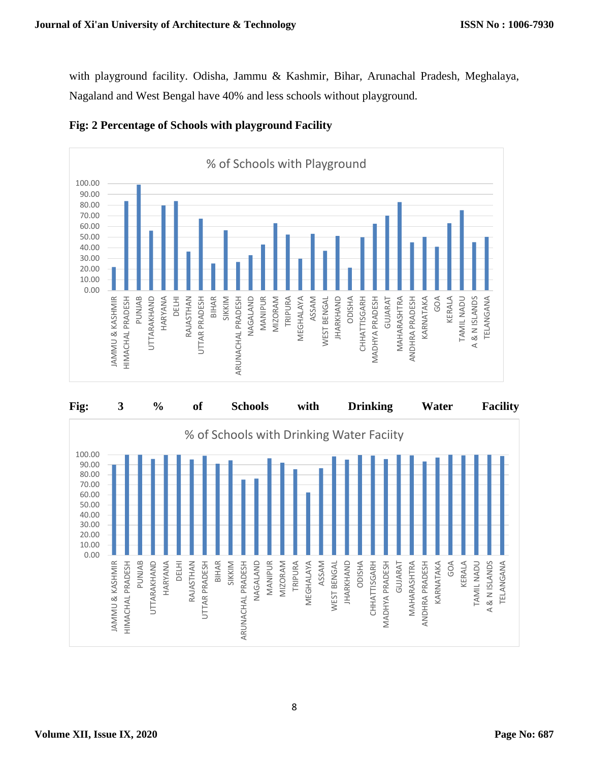with playground facility. Odisha, Jammu & Kashmir, Bihar, Arunachal Pradesh, Meghalaya, Nagaland and West Bengal have 40% and less schools without playground.



# **Fig: 2 Percentage of Schools with playground Facility**

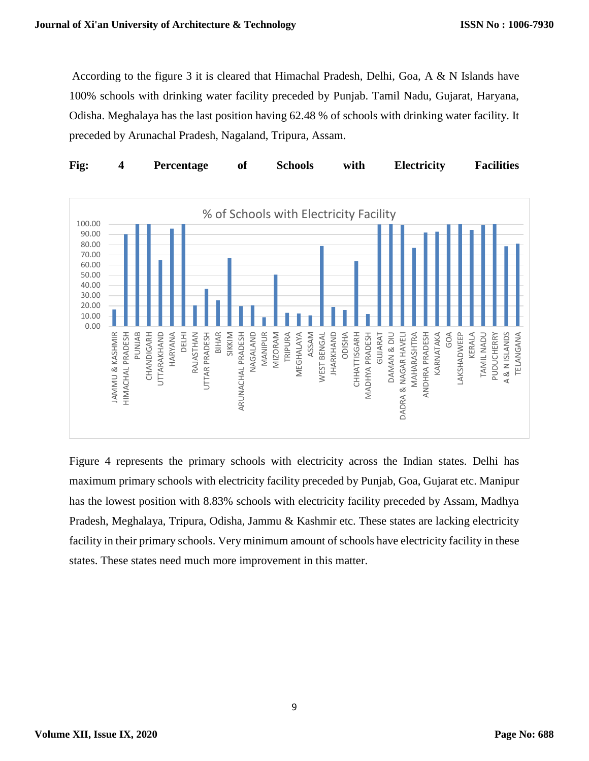According to the figure 3 it is cleared that Himachal Pradesh, Delhi, Goa, A & N Islands have 100% schools with drinking water facility preceded by Punjab. Tamil Nadu, Gujarat, Haryana, Odisha. Meghalaya has the last position having 62.48 % of schools with drinking water facility. It preceded by Arunachal Pradesh, Nagaland, Tripura, Assam.



Figure 4 represents the primary schools with electricity across the Indian states. Delhi has maximum primary schools with electricity facility preceded by Punjab, Goa, Gujarat etc. Manipur has the lowest position with 8.83% schools with electricity facility preceded by Assam, Madhya Pradesh, Meghalaya, Tripura, Odisha, Jammu & Kashmir etc. These states are lacking electricity facility in their primary schools. Very minimum amount of schools have electricity facility in these states. These states need much more improvement in this matter.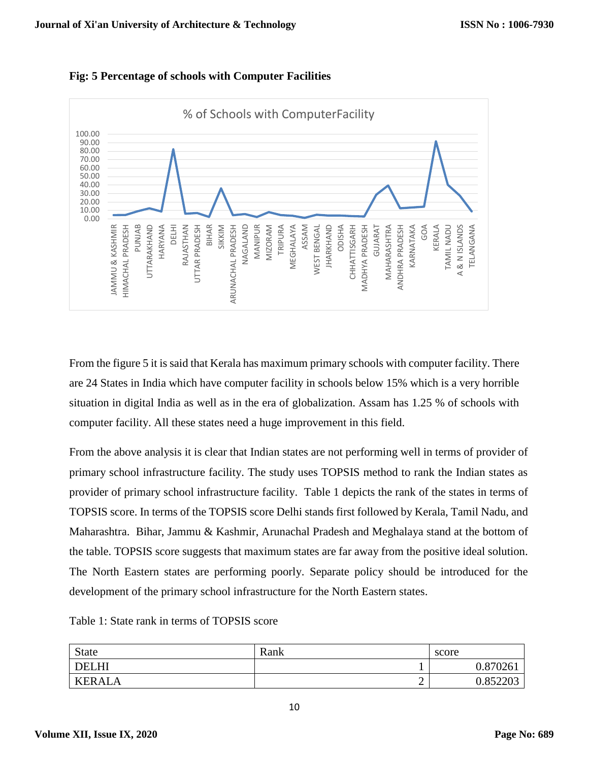![](_page_9_Figure_2.jpeg)

![](_page_9_Figure_3.jpeg)

From the figure 5 it is said that Kerala has maximum primary schools with computer facility. There are 24 States in India which have computer facility in schools below 15% which is a very horrible situation in digital India as well as in the era of globalization. Assam has 1.25 % of schools with computer facility. All these states need a huge improvement in this field.

From the above analysis it is clear that Indian states are not performing well in terms of provider of primary school infrastructure facility. The study uses TOPSIS method to rank the Indian states as provider of primary school infrastructure facility. Table 1 depicts the rank of the states in terms of TOPSIS score. In terms of the TOPSIS score Delhi stands first followed by Kerala, Tamil Nadu, and Maharashtra. Bihar, Jammu & Kashmir, Arunachal Pradesh and Meghalaya stand at the bottom of the table. TOPSIS score suggests that maximum states are far away from the positive ideal solution. The North Eastern states are performing poorly. Separate policy should be introduced for the development of the primary school infrastructure for the North Eastern states.

Table 1: State rank in terms of TOPSIS score

| <b>State</b>  | Rank | score    |
|---------------|------|----------|
| <b>DELHI</b>  |      | 0.870261 |
| <b>KERALA</b> | ∸    | 0.852203 |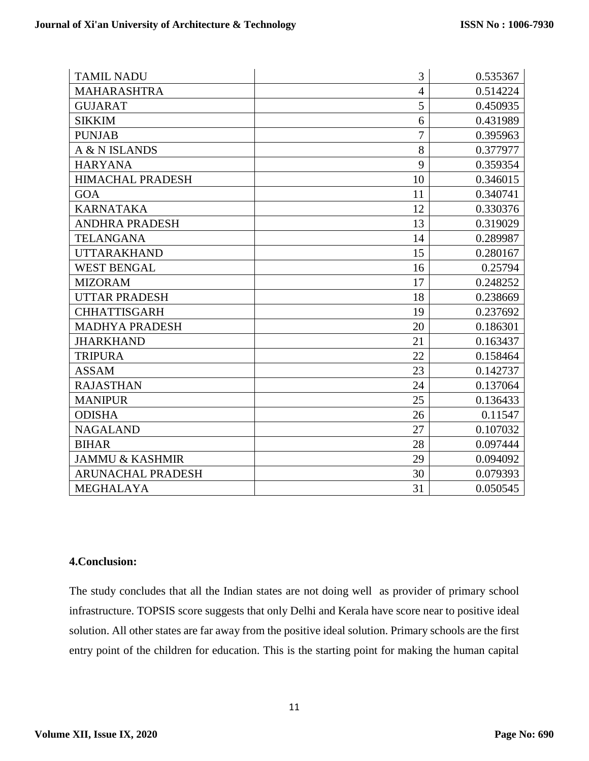| <b>TAMIL NADU</b>          | 3              | 0.535367 |
|----------------------------|----------------|----------|
| <b>MAHARASHTRA</b>         | $\overline{4}$ | 0.514224 |
| <b>GUJARAT</b>             | 5              | 0.450935 |
| <b>SIKKIM</b>              | 6              | 0.431989 |
| <b>PUNJAB</b>              | 7              | 0.395963 |
| A & N ISLANDS              | 8              | 0.377977 |
| <b>HARYANA</b>             | 9              | 0.359354 |
| <b>HIMACHAL PRADESH</b>    | 10             | 0.346015 |
| <b>GOA</b>                 | 11             | 0.340741 |
| <b>KARNATAKA</b>           | 12             | 0.330376 |
| <b>ANDHRA PRADESH</b>      | 13             | 0.319029 |
| <b>TELANGANA</b>           | 14             | 0.289987 |
| <b>UTTARAKHAND</b>         | 15             | 0.280167 |
| <b>WEST BENGAL</b>         | 16             | 0.25794  |
| <b>MIZORAM</b>             | 17             | 0.248252 |
| <b>UTTAR PRADESH</b>       | 18             | 0.238669 |
| <b>CHHATTISGARH</b>        | 19             | 0.237692 |
| <b>MADHYA PRADESH</b>      | 20             | 0.186301 |
| <b>JHARKHAND</b>           | 21             | 0.163437 |
| <b>TRIPURA</b>             | 22             | 0.158464 |
| <b>ASSAM</b>               | 23             | 0.142737 |
| <b>RAJASTHAN</b>           | 24             | 0.137064 |
| <b>MANIPUR</b>             | 25             | 0.136433 |
| <b>ODISHA</b>              | 26             | 0.11547  |
| <b>NAGALAND</b>            | 27             | 0.107032 |
| <b>BIHAR</b>               | 28             | 0.097444 |
| <b>JAMMU &amp; KASHMIR</b> | 29             | 0.094092 |
| <b>ARUNACHAL PRADESH</b>   | 30             | 0.079393 |
| <b>MEGHALAYA</b>           | 31             | 0.050545 |

# **4.Conclusion:**

The study concludes that all the Indian states are not doing well as provider of primary school infrastructure. TOPSIS score suggests that only Delhi and Kerala have score near to positive ideal solution. All other states are far away from the positive ideal solution. Primary schools are the first entry point of the children for education. This is the starting point for making the human capital